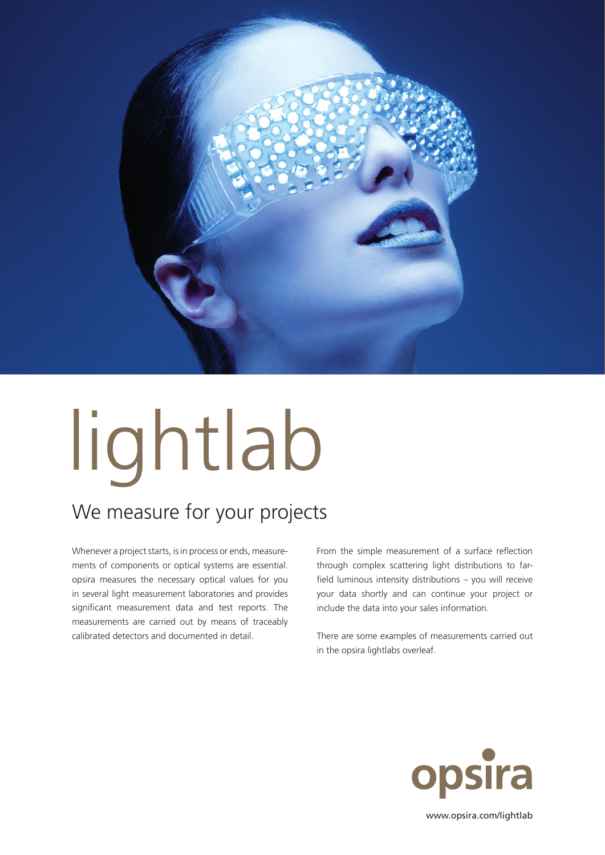

## lightlab

## We measure for your projects

Whenever a project starts, is in process or ends, measurements of components or optical systems are essential. opsira measures the necessary optical values for you in several light measurement laboratories and provides significant measurement data and test reports. The measurements are carried out by means of traceably calibrated detectors and documented in detail.

From the simple measurement of a surface reflection through complex scattering light distributions to farfield luminous intensity distributions – you will receive your data shortly and can continue your project or include the data into your sales information.

There are some examples of measurements carried out in the opsira lightlabs overleaf.